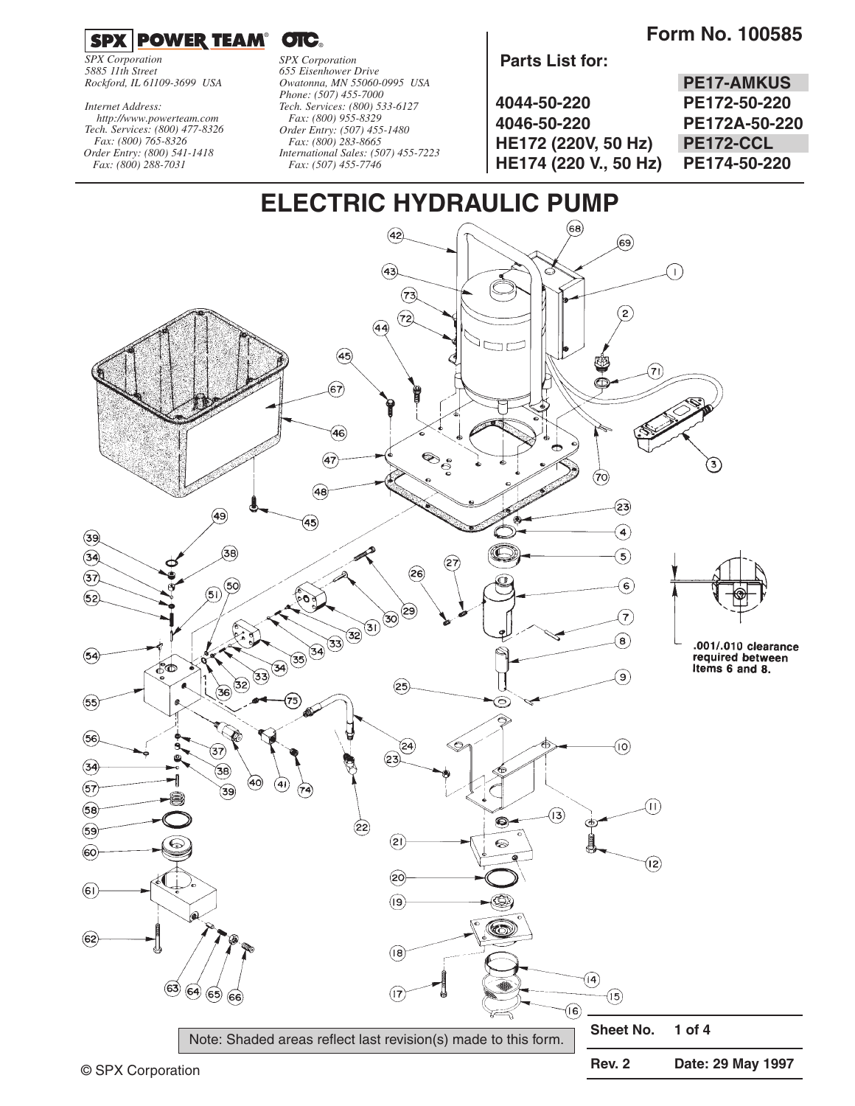**Form No. 100585** 



*SPX Corporation 5885 11th Street Rockford, IL 61109-3699 USA*

*Tech. Services: (800) 477-8326 Fax: (800) 765-8326 Order Entry: (800) 541-1418 Fax: (800) 288-7031 http://www.powerteam.com Internet Address:*

*SPX Corporation 655 Eisenhower Drive Owatonna, MN 55060-0995 USA Phone: (507) 455-7000 Tech. Services: (800) 533-6127 Fax: (800) 955-8329 Order Entry: (507) 455-1480 Fax: (800) 283-8665 International Sales: (507) 455-7223 Fax: (507) 455-7746*

#### **Parts List for:**

|                       | <b>PE17-AMKUS</b> |
|-----------------------|-------------------|
| 4044-50-220           | PE172-50-220      |
| 4046-50-220           | PE172A-50-220     |
| HE172 (220V, 50 Hz)   | PE172-CCL         |
| HE174 (220 V., 50 Hz) | PE174-50-220      |



Note: Shaded areas reflect last revision(s) made to this form.

**Rev. 2 Date: 29 May 1997**

**Sheet No. 1 of 4**

 $(15)$ 

(16)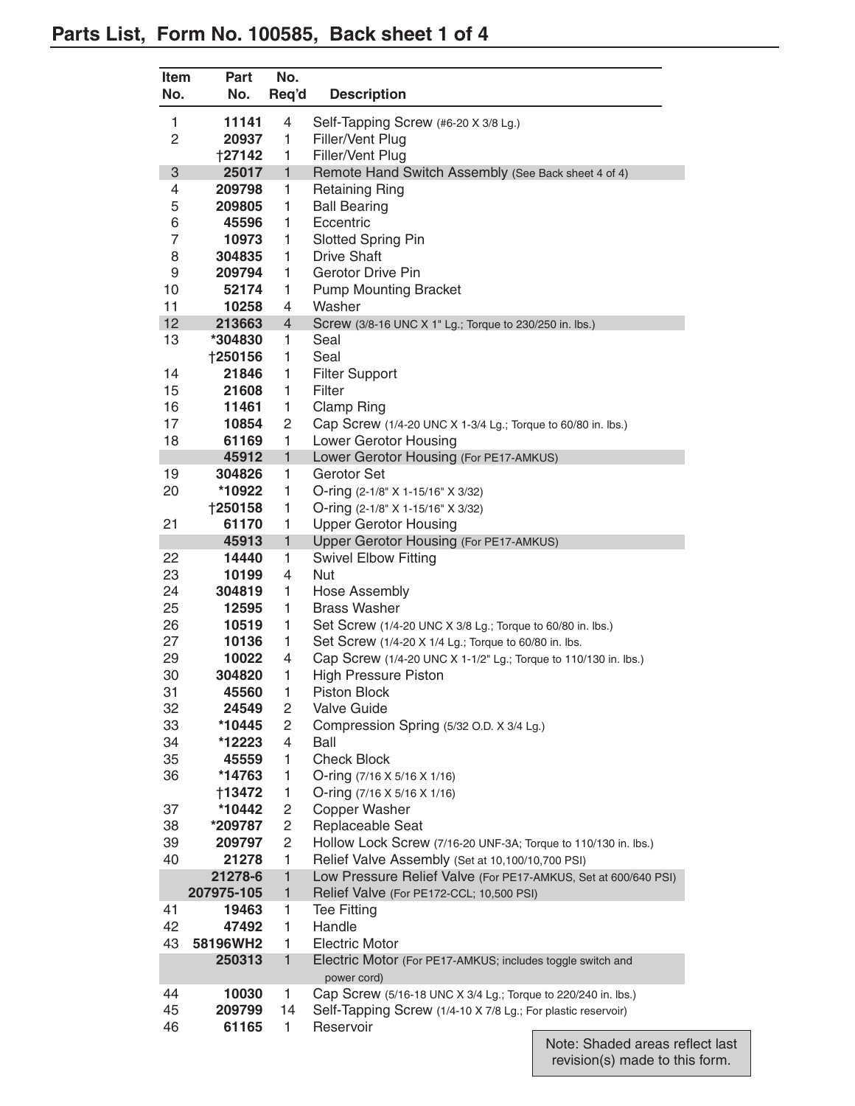| <b>Item</b><br>No. | <b>Part</b><br>No. | No.<br>Req'd   | <b>Description</b>                                                           |
|--------------------|--------------------|----------------|------------------------------------------------------------------------------|
| 1                  | 11141              | 4              | Self-Tapping Screw (#6-20 X 3/8 Lg.)                                         |
| 2                  | 20937              | 1              | Filler/Vent Plug                                                             |
|                    | <b>†27142</b>      | 1              | Filler/Vent Plug                                                             |
| 3                  | 25017              | $\mathbf{1}$   | Remote Hand Switch Assembly (See Back sheet 4 of 4)                          |
| 4                  | 209798             | 1              | <b>Retaining Ring</b>                                                        |
| 5                  | 209805             | 1              | <b>Ball Bearing</b>                                                          |
| 6                  | 45596              | 1              | Eccentric                                                                    |
| $\overline{7}$     | 10973              | 1              | <b>Slotted Spring Pin</b>                                                    |
| 8                  | 304835             | 1              | <b>Drive Shaft</b>                                                           |
| 9<br>10            | 209794<br>52174    | 1<br>1         | <b>Gerotor Drive Pin</b><br><b>Pump Mounting Bracket</b>                     |
| 11                 | 10258              | 4              | Washer                                                                       |
| 12                 | 213663             | $\overline{4}$ | Screw (3/8-16 UNC X 1" Lg.; Torque to 230/250 in. lbs.)                      |
| 13                 | *304830            | 1              | Seal                                                                         |
|                    | <b>†250156</b>     | 1              | Seal                                                                         |
| 14                 | 21846              | 1              | <b>Filter Support</b>                                                        |
| 15                 | 21608              | 1              | Filter                                                                       |
| 16                 | 11461              | 1              | Clamp Ring                                                                   |
| 17                 | 10854              | $\mathbf{2}$   | Cap Screw (1/4-20 UNC X 1-3/4 Lg.; Torque to 60/80 in. lbs.)                 |
| 18                 | 61169              | 1              | Lower Gerotor Housing                                                        |
|                    | 45912              | $\mathbf{1}$   | Lower Gerotor Housing (For PE17-AMKUS)                                       |
| 19                 | 304826             | 1              | Gerotor Set                                                                  |
| 20                 | *10922             | 1              | O-ring (2-1/8" X 1-15/16" X 3/32)                                            |
|                    | †250158            | 1              | O-ring (2-1/8" X 1-15/16" X 3/32)                                            |
| 21                 | 61170<br>45913     | 1<br>1         | <b>Upper Gerotor Housing</b><br>Upper Gerotor Housing (For PE17-AMKUS)       |
| 22                 | 14440              | 1              | <b>Swivel Elbow Fitting</b>                                                  |
| 23                 | 10199              | 4              | Nut                                                                          |
| 24                 | 304819             | 1              | <b>Hose Assembly</b>                                                         |
| 25                 | 12595              | 1              | <b>Brass Washer</b>                                                          |
| 26                 | 10519              | 1              | Set Screw (1/4-20 UNC X 3/8 Lg.; Torque to 60/80 in. lbs.)                   |
| 27                 | 10136              | 1              | Set Screw (1/4-20 X 1/4 Lg.; Torque to 60/80 in. lbs.                        |
| 29                 | 10022              | 4              | Cap Screw (1/4-20 UNC X 1-1/2" Lg.; Torque to 110/130 in. lbs.)              |
| 30                 | 304820             | 1              | <b>High Pressure Piston</b>                                                  |
| 31                 | 45560              | 1              | Piston Block                                                                 |
| 32                 | 24549              | 2              | <b>Valve Guide</b>                                                           |
| 33                 | *10445             | 2              | Compression Spring (5/32 O.D. X 3/4 Lg.)                                     |
| 34<br>35           | *12223             | 4<br>1         | Ball<br><b>Check Block</b>                                                   |
| 36                 | 45559<br>*14763    | 1              | O-ring (7/16 X 5/16 X 1/16)                                                  |
|                    | †13472             | 1              | O-ring (7/16 X 5/16 X 1/16)                                                  |
| 37                 | *10442             | 2              | Copper Washer                                                                |
| 38                 | *209787            | 2              | Replaceable Seat                                                             |
| 39                 | 209797             | 2              | Hollow Lock Screw (7/16-20 UNF-3A; Torque to 110/130 in. lbs.)               |
| 40                 | 21278              | 1              | Relief Valve Assembly (Set at 10,100/10,700 PSI)                             |
|                    | 21278-6            | $\mathbf{1}$   | Low Pressure Relief Valve (For PE17-AMKUS, Set at 600/640 PSI)               |
|                    | 207975-105         | 1              | Relief Valve (For PE172-CCL; 10,500 PSI)                                     |
| 41                 | 19463              | 1              | <b>Tee Fitting</b>                                                           |
| 42                 | 47492              | 1              | Handle                                                                       |
| 43                 | 58196WH2           | 1              | <b>Electric Motor</b>                                                        |
|                    | 250313             | $\mathbf{1}$   | Electric Motor (For PE17-AMKUS; includes toggle switch and                   |
| 44                 | 10030              | 1              | power cord)<br>Cap Screw (5/16-18 UNC X 3/4 Lg.; Torque to 220/240 in. lbs.) |
| 45                 | 209799             | 14             | Self-Tapping Screw (1/4-10 X 7/8 Lg.; For plastic reservoir)                 |
| 46                 | 61165              | 1              | Reservoir                                                                    |
|                    |                    |                |                                                                              |

Note: Shaded areas reflect last revision(s) made to this form.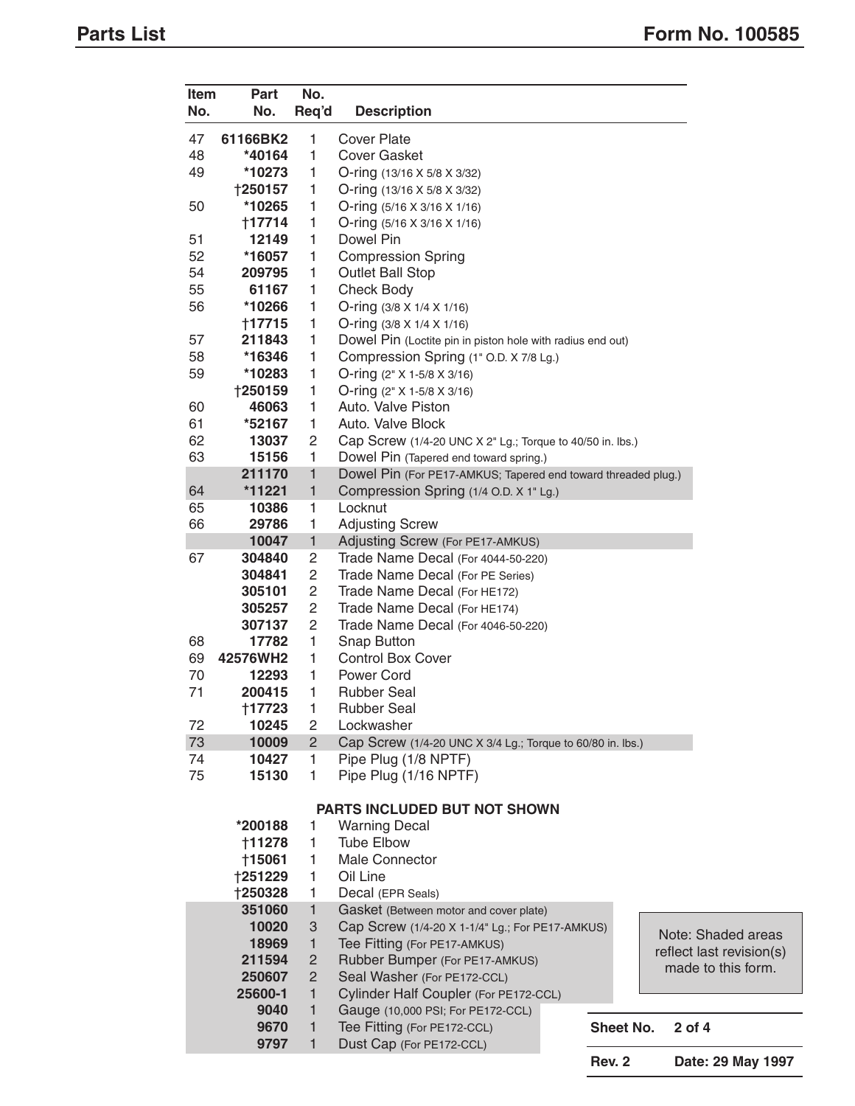| <b>Item</b><br>No. | <b>Part</b><br>No.                                                  | No.<br>Req'd   | <b>Description</b>                                            |               |  |                          |
|--------------------|---------------------------------------------------------------------|----------------|---------------------------------------------------------------|---------------|--|--------------------------|
| 47                 | 61166BK2                                                            | 1              | <b>Cover Plate</b>                                            |               |  |                          |
| 48                 | *40164                                                              | 1              | <b>Cover Gasket</b>                                           |               |  |                          |
| 49                 | *10273                                                              | 1              | O-ring (13/16 X 5/8 X 3/32)                                   |               |  |                          |
|                    | <b>†250157</b>                                                      | 1              | O-ring $(13/16 \times 5/8 \times 3/32)$                       |               |  |                          |
| 50                 | *10265                                                              | 1              | O-ring $(5/16 \times 3/16 \times 1/16)$                       |               |  |                          |
|                    | †17714                                                              | 1              | O-ring $(5/16 \times 3/16 \times 1/16)$                       |               |  |                          |
| 51                 | 12149                                                               | 1              | Dowel Pin                                                     |               |  |                          |
| 52                 | *16057                                                              | 1              | <b>Compression Spring</b>                                     |               |  |                          |
| 54                 | 209795                                                              | 1              | <b>Outlet Ball Stop</b>                                       |               |  |                          |
| 55                 | 61167                                                               | 1              | <b>Check Body</b>                                             |               |  |                          |
| 56                 | *10266                                                              | 1              | O-ring $(3/8 \times 1/4 \times 1/16)$                         |               |  |                          |
|                    | †17715                                                              | 1              | O-ring $(3/8 \times 1/4 \times 1/16)$                         |               |  |                          |
| 57                 | 211843                                                              | 1              | Dowel Pin (Loctite pin in piston hole with radius end out)    |               |  |                          |
| 58                 | *16346                                                              | 1              | Compression Spring (1" O.D. X 7/8 Lg.)                        |               |  |                          |
| 59                 | *10283                                                              | 1              | O-ring $(2" X 1-5/8 X 3/16)$                                  |               |  |                          |
|                    | †250159                                                             | 1              | O-ring (2" X 1-5/8 X 3/16)                                    |               |  |                          |
| 60                 | 46063                                                               | 1              | Auto. Valve Piston                                            |               |  |                          |
| 61                 | *52167                                                              | 1              | Auto. Valve Block                                             |               |  |                          |
| 62                 | 13037                                                               | 2              | Cap Screw (1/4-20 UNC X 2" Lg.; Torque to 40/50 in. lbs.)     |               |  |                          |
| 63                 | 15156                                                               | 1              | Dowel Pin (Tapered end toward spring.)                        |               |  |                          |
|                    | 211170                                                              | 1              | Dowel Pin (For PE17-AMKUS; Tapered end toward threaded plug.) |               |  |                          |
| 64                 | *11221                                                              | 1              |                                                               |               |  |                          |
|                    | 10386                                                               | 1              | Compression Spring (1/4 O.D. X 1" Lg.)<br>Locknut             |               |  |                          |
| 65                 |                                                                     |                |                                                               |               |  |                          |
| 66                 | 29786                                                               | 1              | <b>Adjusting Screw</b>                                        |               |  |                          |
|                    | 10047                                                               | $\mathbf{1}$   | Adjusting Screw (For PE17-AMKUS)                              |               |  |                          |
| 67                 | 304840                                                              | 2              | Trade Name Decal (For 4044-50-220)                            |               |  |                          |
|                    | 304841                                                              | 2              | Trade Name Decal (For PE Series)                              |               |  |                          |
|                    | 305101                                                              | 2              | Trade Name Decal (For HE172)                                  |               |  |                          |
|                    | 305257                                                              | 2              | Trade Name Decal (For HE174)                                  |               |  |                          |
|                    | 307137                                                              | 2              | Trade Name Decal (For 4046-50-220)                            |               |  |                          |
| 68                 | 17782                                                               | 1              | Snap Button                                                   |               |  |                          |
| 69                 | 42576WH2                                                            | 1              | <b>Control Box Cover</b>                                      |               |  |                          |
| 70                 | 12293                                                               | 1              | Power Cord                                                    |               |  |                          |
| 71                 | 200415                                                              | 1              | <b>Rubber Seal</b>                                            |               |  |                          |
|                    | +17723                                                              | 1              | Rubber Seal                                                   |               |  |                          |
| 72                 | 10245                                                               | 2              | Lockwasher                                                    |               |  |                          |
| 73                 | 10009                                                               | $\overline{2}$ | Cap Screw (1/4-20 UNC X 3/4 Lg.; Torque to 60/80 in. lbs.)    |               |  |                          |
| 74                 | 10427                                                               | 1              | Pipe Plug (1/8 NPTF)                                          |               |  |                          |
| 75                 | 15130                                                               | 1              | Pipe Plug (1/16 NPTF)                                         |               |  |                          |
|                    |                                                                     |                | PARTS INCLUDED BUT NOT SHOWN                                  |               |  |                          |
|                    | *200188                                                             | 1              | <b>Warning Decal</b>                                          |               |  |                          |
|                    | †11278                                                              | 1              | <b>Tube Elbow</b>                                             |               |  |                          |
|                    | <b>†15061</b>                                                       | 1              | <b>Male Connector</b>                                         |               |  |                          |
|                    | †251229                                                             | 1              | Oil Line                                                      |               |  |                          |
|                    | †250328                                                             | 1              | Decal (EPR Seals)                                             |               |  |                          |
|                    | 351060                                                              | 1              | Gasket (Between motor and cover plate)                        |               |  |                          |
|                    | 10020                                                               | 3              | Cap Screw (1/4-20 X 1-1/4" Lg.; For PE17-AMKUS)               |               |  | Note: Shaded areas       |
|                    | 18969                                                               | 1              | Tee Fitting (For PE17-AMKUS)                                  |               |  | reflect last revision(s) |
|                    | 211594<br>2<br>Rubber Bumper (For PE17-AMKUS)<br>made to this form. |                |                                                               |               |  |                          |
|                    | Seal Washer (For PE172-CCL)<br>250607<br>2                          |                |                                                               |               |  |                          |
|                    | 25600-1                                                             | 1              | Cylinder Half Coupler (For PE172-CCL)                         |               |  |                          |
|                    | 9040                                                                | 1              | Gauge (10,000 PSI; For PE172-CCL)                             |               |  |                          |
|                    | 9670<br>9797                                                        | 1<br>1         | Tee Fitting (For PE172-CCL)<br>Dust Cap (For PE172-CCL)       | Sheet No.     |  | 2 of 4                   |
|                    |                                                                     |                |                                                               | <b>Rev. 2</b> |  | Date: 29 May 1997        |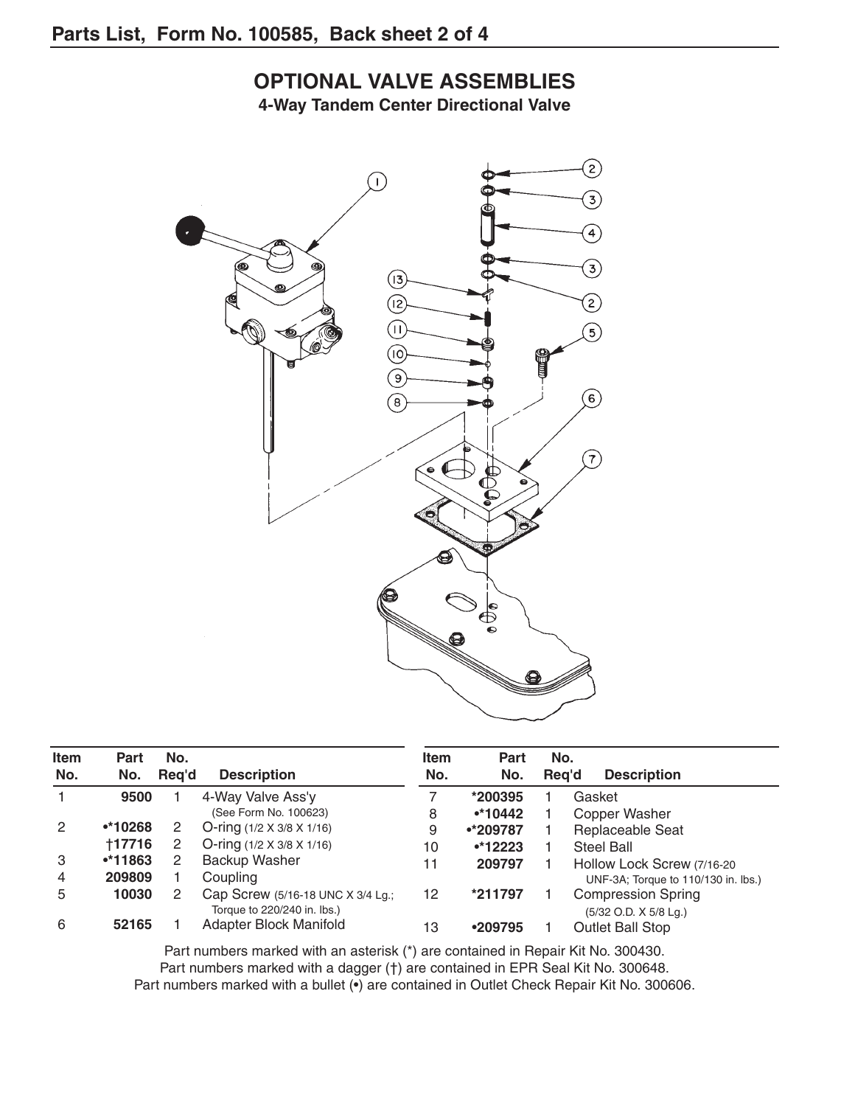## **OPTIONAL VALVE ASSEMBLIES**

**4-Way Tandem Center Directional Valve**



| <b>Item</b><br>No. | <b>Part</b><br>No. | No.<br>Reg'd | <b>Description</b>                    | <b>Item</b><br>No. | <b>Part</b><br>No. | No.<br>Rea'd | <b>Description</b>                  |
|--------------------|--------------------|--------------|---------------------------------------|--------------------|--------------------|--------------|-------------------------------------|
|                    | 9500               |              | 4-Way Valve Ass'y                     |                    | *200395            |              | Gasket                              |
|                    |                    |              | (See Form No. 100623)                 | 8                  | $•*10442$          |              | Copper Washer                       |
| 2                  | $•*10268$          |              | O-ring $(1/2 \times 3/8 \times 1/16)$ | 9                  | •*209787           |              | Replaceable Seat                    |
|                    | <b>+17716</b>      | 2            | O-ring $(1/2 \times 3/8 \times 1/16)$ | 10                 | $•*12223$          |              | <b>Steel Ball</b>                   |
| 3                  | $•*11863$          |              | Backup Washer                         | 11                 | 209797             |              | Hollow Lock Screw (7/16-20          |
| 4                  | 209809             |              | Coupling                              |                    |                    |              | UNF-3A; Torque to 110/130 in. lbs.) |
| 5                  | 10030              |              | Cap Screw (5/16-18 UNC X 3/4 Lg.;     | 12                 | *211797            |              | <b>Compression Spring</b>           |
|                    |                    |              | Torque to 220/240 in. lbs.)           |                    |                    |              | (5/32 O.D. X 5/8 Lg.)               |
| 6                  | 52165              |              | Adapter Block Manifold                | 13                 | •209795            |              | <b>Outlet Ball Stop</b>             |

Part numbers marked with an asterisk (\*) are contained in Repair Kit No. 300430. Part numbers marked with a dagger (†) are contained in EPR Seal Kit No. 300648. Part numbers marked with a bullet (•) are contained in Outlet Check Repair Kit No. 300606.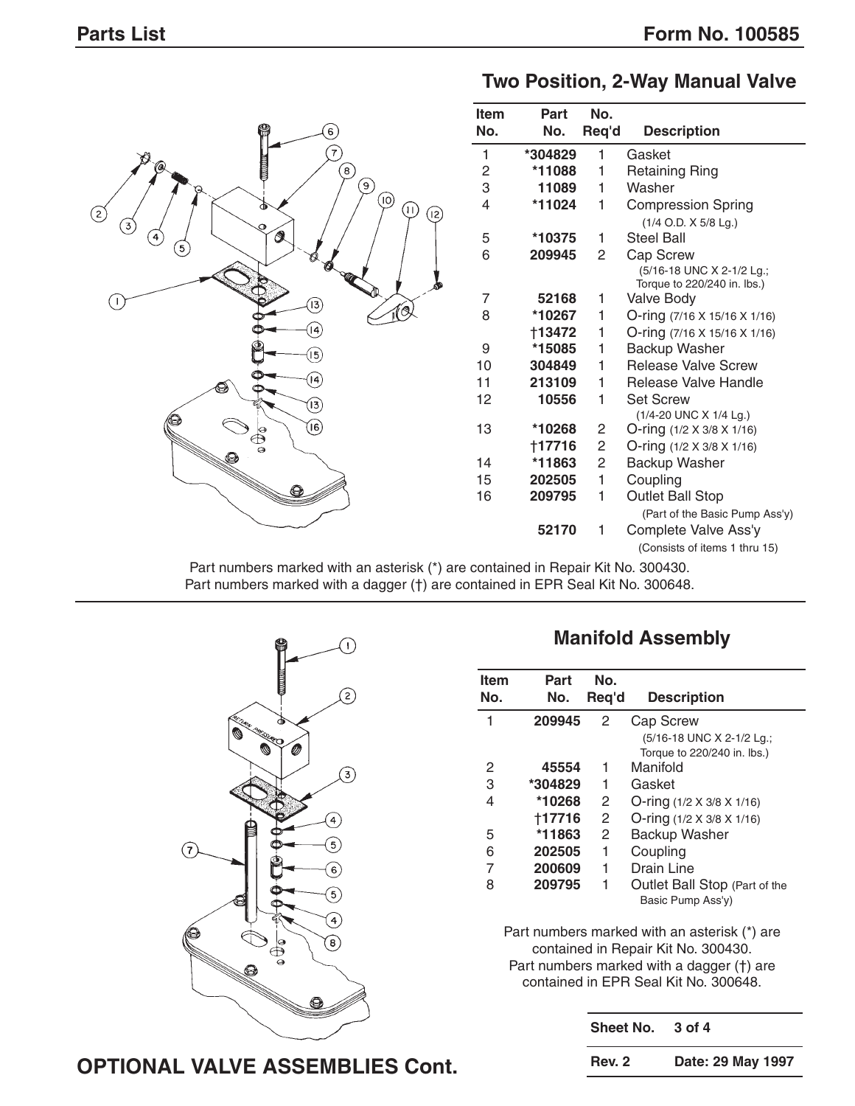**Two Position, 2-Way Manual Valve**



Part numbers marked with an asterisk (\*) are contained in Repair Kit No. 300430. Part numbers marked with a dagger (†) are contained in EPR Seal Kit No. 300648.



#### **Manifold Assembly**

| <b>Item</b><br>No. | Part<br>No. | No.<br>Reg'd | <b>Description</b>            |
|--------------------|-------------|--------------|-------------------------------|
| 1                  | 209945      | 2            | <b>Cap Screw</b>              |
|                    |             |              | (5/16-18 UNC X 2-1/2 Lg.;     |
|                    |             |              | Torque to 220/240 in. lbs.)   |
| 2                  | 45554       | 1            | Manifold                      |
| 3                  | *304829     | 1            | Gasket                        |
| 4                  | *10268      | 2            | O-ring (1/2 X 3/8 X 1/16)     |
|                    | +17716      | 2            | O-ring (1/2 X 3/8 X 1/16)     |
| 5                  | *11863      | 2            | <b>Backup Washer</b>          |
| 6                  | 202505      | 1            | Coupling                      |
| 7                  | 200609      | 1            | Drain Line                    |
| 8                  | 209795      | 1            | Outlet Ball Stop (Part of the |
|                    |             |              | Basic Pump Ass'y)             |

Part numbers marked with an asterisk (\*) are contained in Repair Kit No. 300430. Part numbers marked with a dagger (†) are contained in EPR Seal Kit No. 300648.

| Sheet No.     | 3 of 4            |
|---------------|-------------------|
| <b>Rev. 2</b> | Date: 29 May 1997 |

#### **OPTIONAL VALVE ASSEMBLIES Cont.**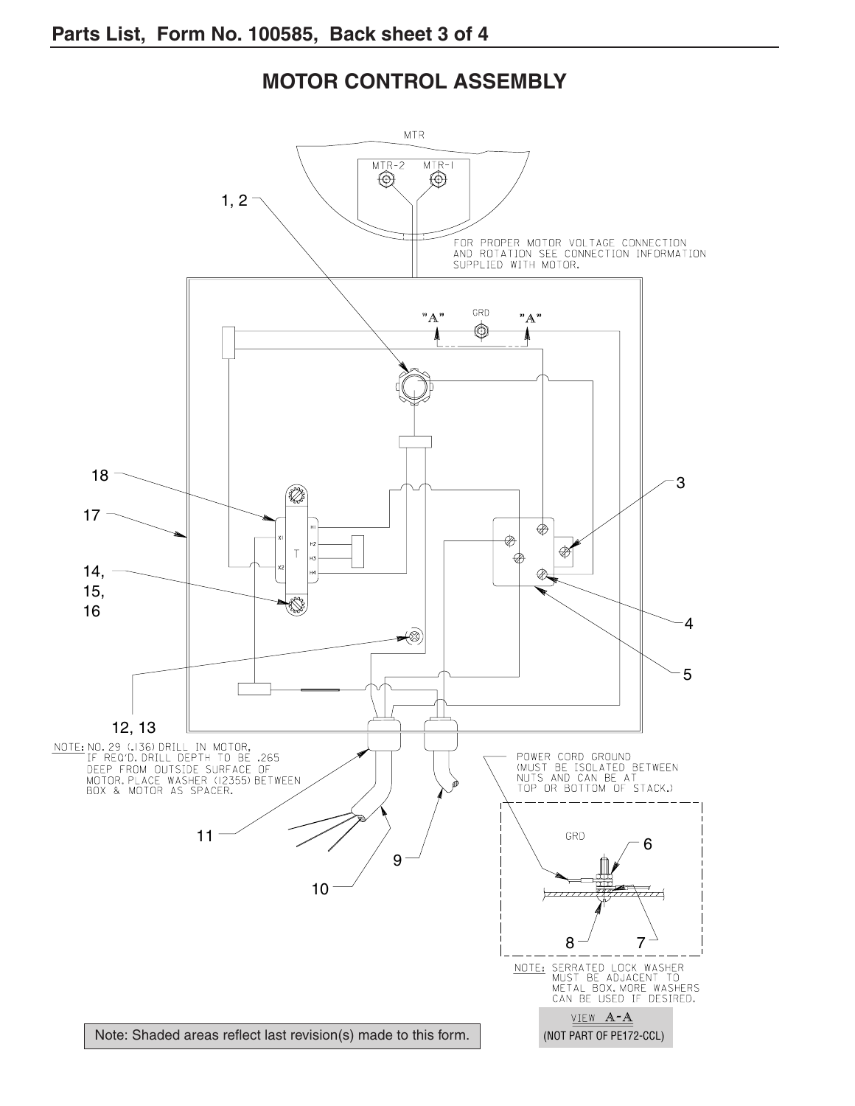#### **MOTOR CONTROL ASSEMBLY**

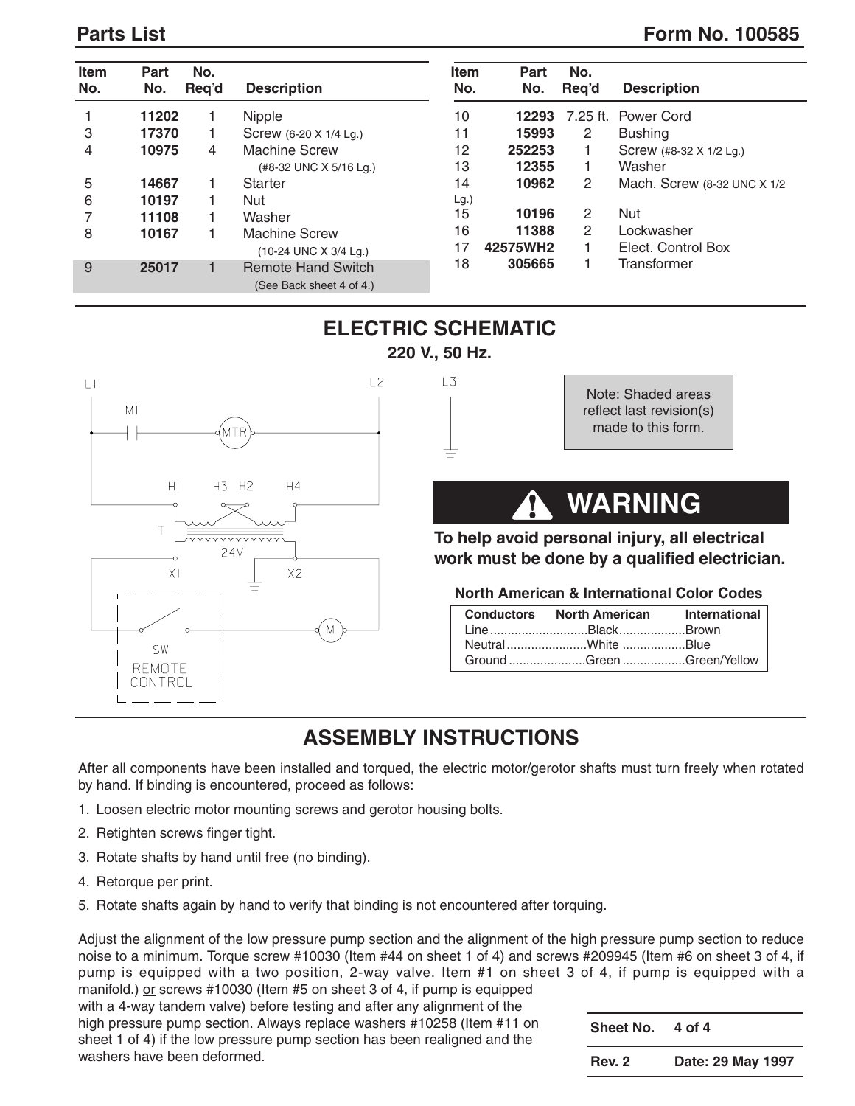### **Parts List** Form No. 100585

| <b>Item</b><br>No. | Part<br>No. | No.<br>Req'd | <b>Description</b>                                    | <b>Item</b><br>No. | <b>Part</b><br>No. | No.<br>Req'd   | <b>Description</b>           |
|--------------------|-------------|--------------|-------------------------------------------------------|--------------------|--------------------|----------------|------------------------------|
|                    | 11202       |              | Nipple                                                | 10                 | 12293              |                | 7.25 ft. Power Cord          |
| 3                  | 17370       |              | Screw (6-20 X 1/4 Lg.)                                | 11                 | 15993              | $\overline{2}$ | <b>Bushing</b>               |
| 4                  | 10975       | 4            | <b>Machine Screw</b>                                  | 12                 | 252253             |                | Screw (#8-32 X 1/2 Lg.)      |
|                    |             |              | (#8-32 UNC X 5/16 Lg.)                                | 13                 | 12355              |                | Washer                       |
| 5                  | 14667       |              | <b>Starter</b>                                        | 14                 | 10962              | $\overline{2}$ | Mach. Screw (8-32 UNC X 1/2) |
| 6                  | 10197       |              | Nut                                                   | Lg.)               |                    |                |                              |
|                    | 11108       |              | Washer                                                | 15                 | 10196              | $\overline{2}$ | <b>Nut</b>                   |
| 8                  | 10167       |              | <b>Machine Screw</b>                                  | 16                 | 11388              | $\mathbf{2}$   | Lockwasher                   |
|                    |             |              | (10-24 UNC X 3/4 Lg.)                                 | 17                 | 42575WH2           |                | Elect. Control Box           |
| 9                  | 25017       |              | <b>Remote Hand Switch</b><br>(See Back sheet 4 of 4.) | 18                 | 305665             |                | Transformer                  |



## **ELECTRIC SCHEMATIC 220 V., 50 Hz.**

 $L3$ 

Note: Shaded areas reflect last revision(s) made to this form.

# **WARNING**

#### **To help avoid personal injury, all electrical work must be done by a qualified electrician.**

 $\boldsymbol{\Omega}$ 

#### **North American & International Color Codes**

| Conductors North American International |  |
|-----------------------------------------|--|
| LineBlackBrown                          |  |
| NeutralWhite Blue                       |  |
| Ground Green Green/Yellow               |  |

## **ASSEMBLY INSTRUCTIONS**

After all components have been installed and torqued, the electric motor/gerotor shafts must turn freely when rotated by hand. If binding is encountered, proceed as follows:

- 1. Loosen electric motor mounting screws and gerotor housing bolts.
- 2. Retighten screws finger tight.
- 3. Rotate shafts by hand until free (no binding).
- 4. Retorque per print.
- 5. Rotate shafts again by hand to verify that binding is not encountered after torquing.

Adjust the alignment of the low pressure pump section and the alignment of the high pressure pump section to reduce noise to a minimum. Torque screw #10030 (Item #44 on sheet 1 of 4) and screws #209945 (Item #6 on sheet 3 of 4, if pump is equipped with a two position, 2-way valve. Item #1 on sheet 3 of 4, if pump is equipped with a manifold.) or screws #10030 (Item #5 on sheet 3 of 4, if pump is equipped

with a 4-way tandem valve) before testing and after any alignment of the high pressure pump section. Always replace washers #10258 (Item #11 on sheet 1 of 4) if the low pressure pump section has been realigned and the washers have been deformed.

**Sheet No. 4 of 4 Rev. 2 Date: 29 May 1997**